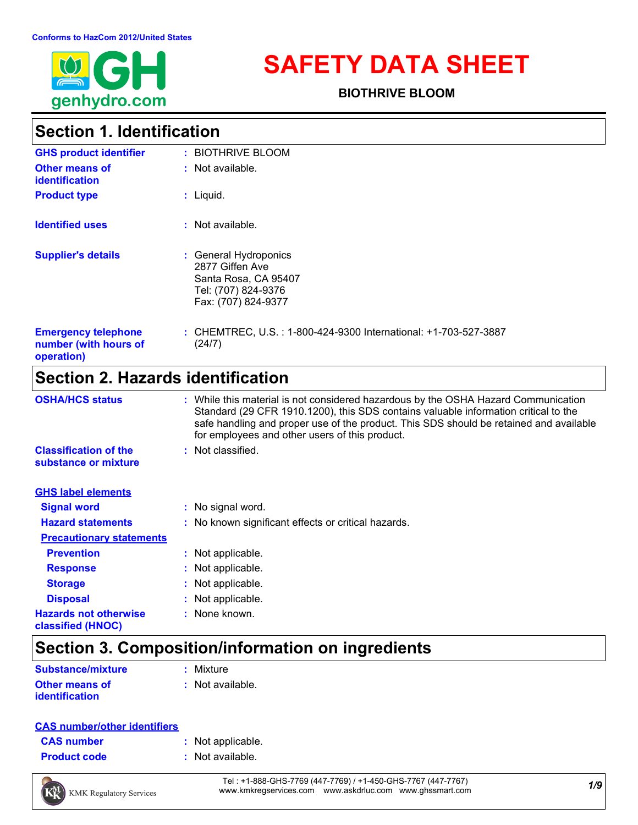

# **SAFETY DATA SHEET**

**BIOTHRIVE BLOOM**

### **Section 1. Identification**

| <b>GHS product identifier</b>                                     | : BIOTHRIVE BLOOM                                                                                              |
|-------------------------------------------------------------------|----------------------------------------------------------------------------------------------------------------|
| <b>Other means of</b><br><b>identification</b>                    | $:$ Not available.                                                                                             |
| <b>Product type</b>                                               | $:$ Liquid.                                                                                                    |
| <b>Identified uses</b>                                            | $:$ Not available.                                                                                             |
| <b>Supplier's details</b>                                         | : General Hydroponics<br>2877 Giffen Ave<br>Santa Rosa, CA 95407<br>Tel: (707) 824-9376<br>Fax: (707) 824-9377 |
| <b>Emergency telephone</b><br>number (with hours of<br>operation) | : CHEMTREC, U.S. : 1-800-424-9300 International: +1-703-527-3887<br>(24/7)                                     |

### **Section 2. Hazards identification**

| <b>OSHA/HCS status</b>                               | : While this material is not considered hazardous by the OSHA Hazard Communication<br>Standard (29 CFR 1910.1200), this SDS contains valuable information critical to the<br>safe handling and proper use of the product. This SDS should be retained and available<br>for employees and other users of this product. |
|------------------------------------------------------|-----------------------------------------------------------------------------------------------------------------------------------------------------------------------------------------------------------------------------------------------------------------------------------------------------------------------|
| <b>Classification of the</b><br>substance or mixture | : Not classified.                                                                                                                                                                                                                                                                                                     |
| <b>GHS label elements</b>                            |                                                                                                                                                                                                                                                                                                                       |
| <b>Signal word</b>                                   | : No signal word.                                                                                                                                                                                                                                                                                                     |
| <b>Hazard statements</b>                             | : No known significant effects or critical hazards.                                                                                                                                                                                                                                                                   |
| <b>Precautionary statements</b>                      |                                                                                                                                                                                                                                                                                                                       |
| <b>Prevention</b>                                    | : Not applicable.                                                                                                                                                                                                                                                                                                     |
| <b>Response</b>                                      | : Not applicable.                                                                                                                                                                                                                                                                                                     |
| <b>Storage</b>                                       | : Not applicable.                                                                                                                                                                                                                                                                                                     |
| <b>Disposal</b>                                      | : Not applicable.                                                                                                                                                                                                                                                                                                     |
| <b>Hazards not otherwise</b><br>classified (HNOC)    | : None known.                                                                                                                                                                                                                                                                                                         |

### **Section 3. Composition/information on ingredients**

| <b>Substance/mixture</b> | : Mixture          |
|--------------------------|--------------------|
| <b>Other means of</b>    | $:$ Not available. |
| <i>identification</i>    |                    |

#### **CAS number/other identifiers**

| <b>CAS number</b> |  |
|-------------------|--|
|                   |  |

- **:** Not applicable.
- **Product code :** Not available.



*1/9* Tel : +1-888-GHS-7769 (447-7769) / +1-450-GHS-7767 (447-7767) www.kmkregservices.com www.askdrluc.com www.ghssmart.com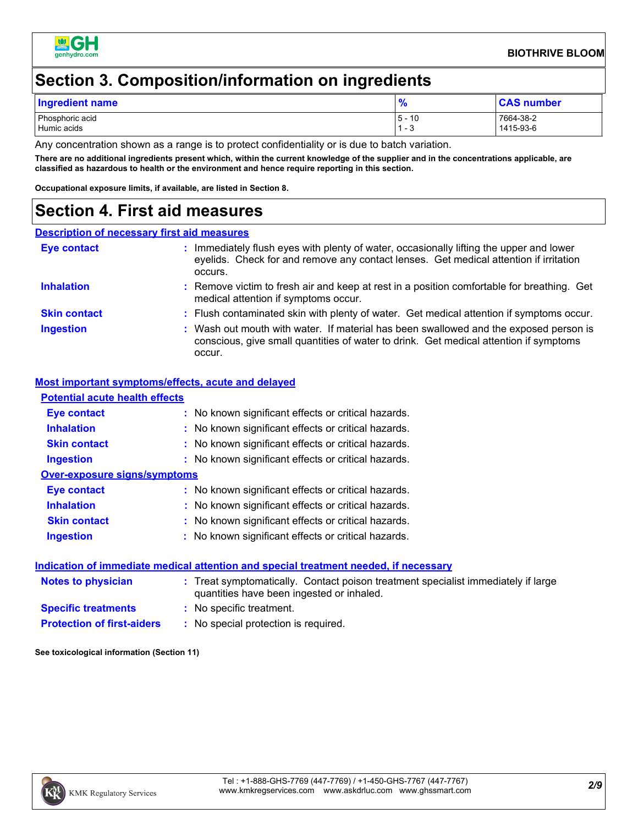

### **Section 3. Composition/information on ingredients**

| Ingredient name                |                    | <b>CAS number</b>      |
|--------------------------------|--------------------|------------------------|
| Phosphoric acid<br>Humic acids | 5 -<br>10<br>ن - ` | 7664-38-2<br>1415-93-6 |

Any concentration shown as a range is to protect confidentiality or is due to batch variation.

**There are no additional ingredients present which, within the current knowledge of the supplier and in the concentrations applicable, are classified as hazardous to health or the environment and hence require reporting in this section.**

**Occupational exposure limits, if available, are listed in Section 8.**

### **Section 4. First aid measures**

#### **Description of necessary first aid measures**

| <b>Eye contact</b>  | Immediately flush eyes with plenty of water, occasionally lifting the upper and lower<br>eyelids. Check for and remove any contact lenses. Get medical attention if irritation<br>occurs. |
|---------------------|-------------------------------------------------------------------------------------------------------------------------------------------------------------------------------------------|
| <b>Inhalation</b>   | : Remove victim to fresh air and keep at rest in a position comfortable for breathing. Get<br>medical attention if symptoms occur.                                                        |
| <b>Skin contact</b> | : Flush contaminated skin with plenty of water. Get medical attention if symptoms occur.                                                                                                  |
| <b>Ingestion</b>    | : Wash out mouth with water. If material has been swallowed and the exposed person is<br>conscious, give small quantities of water to drink. Get medical attention if symptoms<br>occur.  |

#### **Most important symptoms/effects, acute and delayed**

| <b>Potential acute health effects</b> |                                                                                                                                |
|---------------------------------------|--------------------------------------------------------------------------------------------------------------------------------|
| Eye contact                           | : No known significant effects or critical hazards.                                                                            |
| <b>Inhalation</b>                     | : No known significant effects or critical hazards.                                                                            |
| <b>Skin contact</b>                   | : No known significant effects or critical hazards.                                                                            |
| <b>Ingestion</b>                      | : No known significant effects or critical hazards.                                                                            |
| <b>Over-exposure signs/symptoms</b>   |                                                                                                                                |
| Eye contact                           | : No known significant effects or critical hazards.                                                                            |
| <b>Inhalation</b>                     | : No known significant effects or critical hazards.                                                                            |
| <b>Skin contact</b>                   | : No known significant effects or critical hazards.                                                                            |
| <b>Ingestion</b>                      | : No known significant effects or critical hazards.                                                                            |
|                                       | Indication of immediate medical attention and special treatment needed, if necessary                                           |
| <b>Notes to physician</b>             | : Treat symptomatically. Contact poison treatment specialist immediately if large<br>quantities have been ingested or inhaled. |
| <b>Specific treatments</b>            | : No specific treatment.                                                                                                       |
| <b>Protection of first-aiders</b>     | : No special protection is required.                                                                                           |

**See toxicological information (Section 11)**

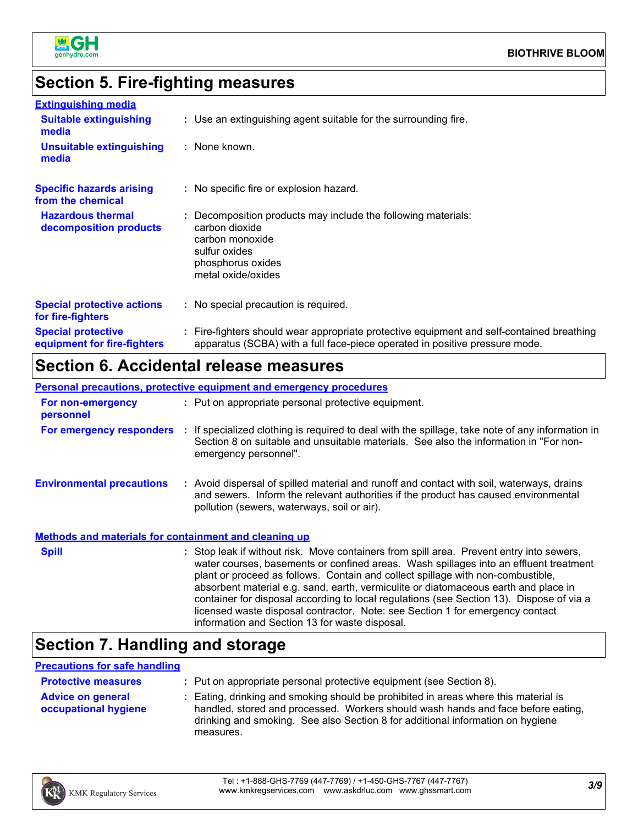

### **Section 5. Fire-fighting measures**

| <b>Extinguishing media</b>                               |                                                                                                                                                                          |
|----------------------------------------------------------|--------------------------------------------------------------------------------------------------------------------------------------------------------------------------|
| <b>Suitable extinguishing</b><br>media                   | : Use an extinguishing agent suitable for the surrounding fire.                                                                                                          |
| <b>Unsuitable extinguishing</b><br>media                 | : None known.                                                                                                                                                            |
| <b>Specific hazards arising</b><br>from the chemical     | : No specific fire or explosion hazard.                                                                                                                                  |
| <b>Hazardous thermal</b><br>decomposition products       | : Decomposition products may include the following materials:<br>carbon dioxide<br>carbon monoxide<br>sulfur oxides<br>phosphorus oxides<br>metal oxide/oxides           |
| <b>Special protective actions</b><br>for fire-fighters   | : No special precaution is required.                                                                                                                                     |
| <b>Special protective</b><br>equipment for fire-fighters | : Fire-fighters should wear appropriate protective equipment and self-contained breathing<br>apparatus (SCBA) with a full face-piece operated in positive pressure mode. |

### **Section 6. Accidental release measures**

|                                                              | <b>Personal precautions, protective equipment and emergency procedures</b>                                                                                                                                                                                                                                                                                                                                                                                                                                                                                                                 |
|--------------------------------------------------------------|--------------------------------------------------------------------------------------------------------------------------------------------------------------------------------------------------------------------------------------------------------------------------------------------------------------------------------------------------------------------------------------------------------------------------------------------------------------------------------------------------------------------------------------------------------------------------------------------|
| For non-emergency<br>personnel                               | : Put on appropriate personal protective equipment.                                                                                                                                                                                                                                                                                                                                                                                                                                                                                                                                        |
|                                                              | For emergency responders : If specialized clothing is required to deal with the spillage, take note of any information in<br>Section 8 on suitable and unsuitable materials. See also the information in "For non-<br>emergency personnel".                                                                                                                                                                                                                                                                                                                                                |
| <b>Environmental precautions</b>                             | : Avoid dispersal of spilled material and runoff and contact with soil, waterways, drains<br>and sewers. Inform the relevant authorities if the product has caused environmental<br>pollution (sewers, waterways, soil or air).                                                                                                                                                                                                                                                                                                                                                            |
| <b>Methods and materials for containment and cleaning up</b> |                                                                                                                                                                                                                                                                                                                                                                                                                                                                                                                                                                                            |
| <b>Spill</b>                                                 | : Stop leak if without risk. Move containers from spill area. Prevent entry into sewers,<br>water courses, basements or confined areas. Wash spillages into an effluent treatment<br>plant or proceed as follows. Contain and collect spillage with non-combustible,<br>absorbent material e.g. sand, earth, vermiculite or diatomaceous earth and place in<br>container for disposal according to local regulations (see Section 13). Dispose of via a<br>licensed waste disposal contractor. Note: see Section 1 for emergency contact<br>information and Section 13 for waste disposal. |

### **Section 7. Handling and storage**

#### **Precautions for safe handling**

| <b>Protective measures</b>                       | : Put on appropriate personal protective equipment (see Section 8).                                                                                                                                                                                                    |
|--------------------------------------------------|------------------------------------------------------------------------------------------------------------------------------------------------------------------------------------------------------------------------------------------------------------------------|
| <b>Advice on general</b><br>occupational hygiene | : Eating, drinking and smoking should be prohibited in areas where this material is<br>handled, stored and processed. Workers should wash hands and face before eating,<br>drinking and smoking. See also Section 8 for additional information on hygiene<br>measures. |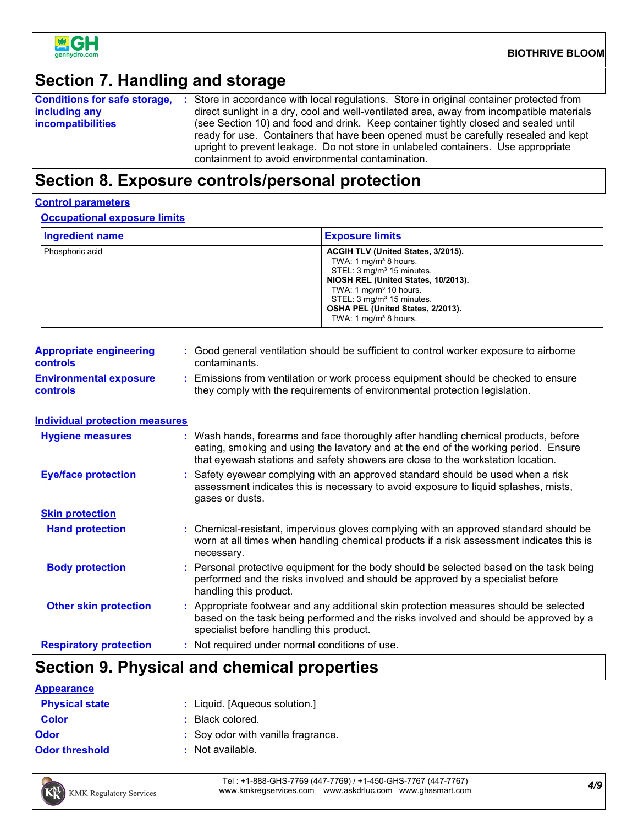

### **Section 7. Handling and storage**

|                          | <b>Conditions for safe storage, :</b> Store in accordance with local regulations. Store in original container protected from |  |
|--------------------------|------------------------------------------------------------------------------------------------------------------------------|--|
| including any            | direct sunlight in a dry, cool and well-ventilated area, away from incompatible materials                                    |  |
| <i>incompatibilities</i> | (see Section 10) and food and drink. Keep container tightly closed and sealed until                                          |  |
|                          | ready for use. Containers that have been opened must be carefully resealed and kept                                          |  |
|                          | upright to prevent leakage. Do not store in unlabeled containers. Use appropriate                                            |  |
|                          | containment to avoid environmental contamination.                                                                            |  |

### **Section 8. Exposure controls/personal protection**

#### **Control parameters**

**Occupational exposure limits**

| <b>Ingredient name</b> | <b>Exposure limits</b>                                                                                                                                                                                                                                                             |
|------------------------|------------------------------------------------------------------------------------------------------------------------------------------------------------------------------------------------------------------------------------------------------------------------------------|
| Phosphoric acid        | ACGIH TLV (United States, 3/2015).<br>TWA: 1 $mg/m3$ 8 hours.<br>STEL: 3 mg/m <sup>3</sup> 15 minutes.<br>NIOSH REL (United States, 10/2013).<br>TWA: 1 $mq/m3$ 10 hours.<br>STEL: 3 mg/m <sup>3</sup> 15 minutes.<br>OSHA PEL (United States, 2/2013).<br>TWA: 1 $mq/m3$ 8 hours. |

| <b>Appropriate engineering</b><br><b>controls</b> | : Good general ventilation should be sufficient to control worker exposure to airborne<br>contaminants.                                                        |
|---------------------------------------------------|----------------------------------------------------------------------------------------------------------------------------------------------------------------|
| <b>Environmental exposure</b><br><b>controls</b>  | Emissions from ventilation or work process equipment should be checked to ensure<br>they comply with the requirements of environmental protection legislation. |

**Individual protection measures**

| <b>Hygiene measures</b>       | : Wash hands, forearms and face thoroughly after handling chemical products, before<br>eating, smoking and using the lavatory and at the end of the working period. Ensure<br>that eyewash stations and safety showers are close to the workstation location. |
|-------------------------------|---------------------------------------------------------------------------------------------------------------------------------------------------------------------------------------------------------------------------------------------------------------|
| <b>Eye/face protection</b>    | : Safety eyewear complying with an approved standard should be used when a risk<br>assessment indicates this is necessary to avoid exposure to liquid splashes, mists,<br>gases or dusts.                                                                     |
| <b>Skin protection</b>        |                                                                                                                                                                                                                                                               |
| <b>Hand protection</b>        | : Chemical-resistant, impervious gloves complying with an approved standard should be<br>worn at all times when handling chemical products if a risk assessment indicates this is<br>necessary.                                                               |
| <b>Body protection</b>        | : Personal protective equipment for the body should be selected based on the task being<br>performed and the risks involved and should be approved by a specialist before<br>handling this product.                                                           |
| <b>Other skin protection</b>  | : Appropriate footwear and any additional skin protection measures should be selected<br>based on the task being performed and the risks involved and should be approved by a<br>specialist before handling this product.                                     |
| <b>Respiratory protection</b> | : Not required under normal conditions of use.                                                                                                                                                                                                                |

## **Section 9. Physical and chemical properties**

| <b>Appearance</b>     |                                    |
|-----------------------|------------------------------------|
| <b>Physical state</b> | : Liquid. [Aqueous solution.]      |
| <b>Color</b>          | $\therefore$ Black colored.        |
| <b>Odor</b>           | : Soy odor with vanilla fragrance. |
| <b>Odor threshold</b> | $:$ Not available.                 |



*4/9* Tel : +1-888-GHS-7769 (447-7769) / +1-450-GHS-7767 (447-7767) www.kmkregservices.com www.askdrluc.com www.ghssmart.com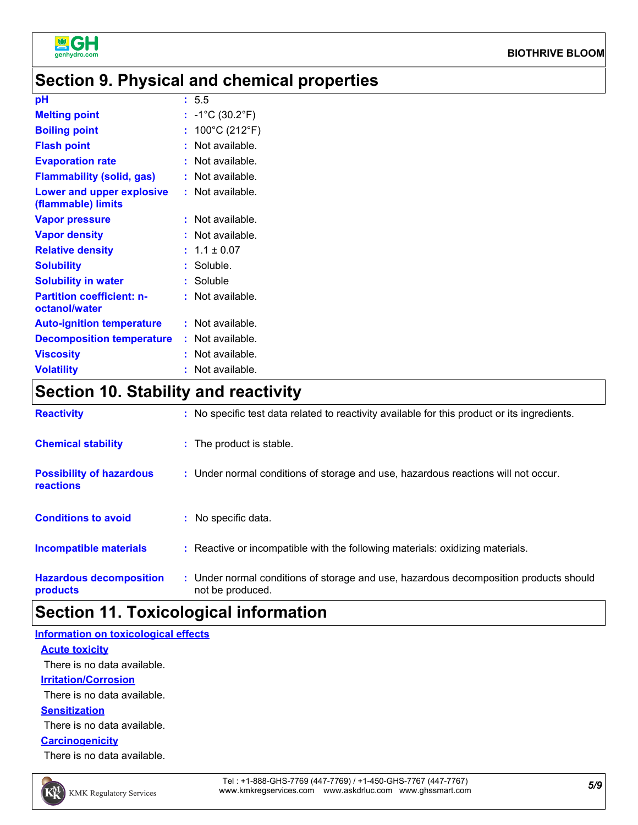

### **Section 9. Physical and chemical properties**

| pH                                                | : 5.5                                |
|---------------------------------------------------|--------------------------------------|
| <b>Melting point</b>                              | : $-1^{\circ}C(30.2^{\circ}F)$       |
| <b>Boiling point</b>                              | : $100^{\circ}$ C (212 $^{\circ}$ F) |
| <b>Flash point</b>                                | $:$ Not available.                   |
| <b>Evaporation rate</b>                           | : Not available.                     |
| <b>Flammability (solid, gas)</b>                  | : Not available.                     |
| Lower and upper explosive<br>(flammable) limits   | : Not available.                     |
| <b>Vapor pressure</b>                             | $:$ Not available.                   |
| <b>Vapor density</b>                              | $:$ Not available.                   |
| <b>Relative density</b>                           | $: 1.1 \pm 0.07$                     |
| <b>Solubility</b>                                 | : Soluble.                           |
| <b>Solubility in water</b>                        | : Soluble                            |
| <b>Partition coefficient: n-</b><br>octanol/water | $:$ Not available.                   |
| <b>Auto-ignition temperature</b>                  | $:$ Not available.                   |
| <b>Decomposition temperature</b>                  | : Not available.                     |
| <b>Viscosity</b>                                  | $:$ Not available.                   |
| <b>Volatility</b>                                 | Not available.                       |

### **Section 10. Stability and reactivity**

| <b>Reactivity</b>                            | : No specific test data related to reactivity available for this product or its ingredients.              |
|----------------------------------------------|-----------------------------------------------------------------------------------------------------------|
| <b>Chemical stability</b>                    | : The product is stable.                                                                                  |
| <b>Possibility of hazardous</b><br>reactions | : Under normal conditions of storage and use, hazardous reactions will not occur.                         |
| <b>Conditions to avoid</b>                   | : No specific data.                                                                                       |
| Incompatible materials                       | : Reactive or incompatible with the following materials: oxidizing materials.                             |
| <b>Hazardous decomposition</b><br>products   | : Under normal conditions of storage and use, hazardous decomposition products should<br>not be produced. |

### **Section 11. Toxicological information**

### **Acute toxicity Information on toxicological effects** There is no data available.

**Irritation/Corrosion**

There is no data available.

#### **Sensitization**

There is no data available.

#### **Carcinogenicity**

There is no data available.

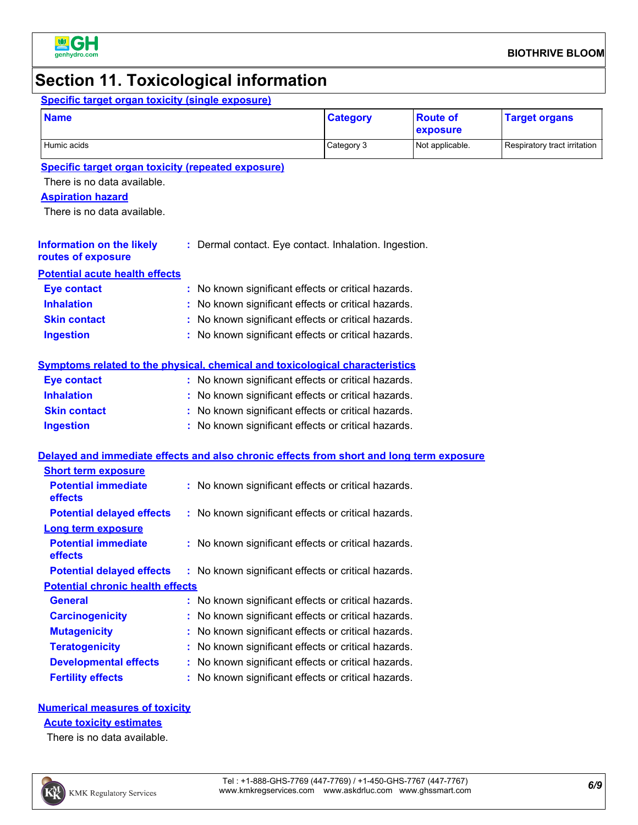

### **Section 11. Toxicological information**

#### **Information on the likely routes of exposure Inhalation :** No known significant effects or critical hazards. **Ingestion :** No known significant effects or critical hazards. **Skin contact :** No known significant effects or critical hazards. **Eye contact :** No known significant effects or critical hazards. **Specific target organ toxicity (single exposure) Specific target organ toxicity (repeated exposure) Name Category Aspiration hazard Route of exposure Target organs :** Dermal contact. Eye contact. Inhalation. Ingestion. **Potential acute health effects** Humic acids **Category 3** Not applicable. Respiratory tract irritation **Note** Respiratory tract irritation There is no data available. There is no data available.

#### **Symptoms related to the physical, chemical and toxicological characteristics**

| <b>Eye contact</b>  | : No known significant effects or critical hazards. |
|---------------------|-----------------------------------------------------|
| <b>Inhalation</b>   | : No known significant effects or critical hazards. |
| <b>Skin contact</b> | : No known significant effects or critical hazards. |
| <b>Ingestion</b>    | : No known significant effects or critical hazards. |

#### **Delayed and immediate effects and also chronic effects from short and long term exposure**

| <b>Short term exposure</b>              |                                                     |
|-----------------------------------------|-----------------------------------------------------|
| <b>Potential immediate</b><br>effects   | : No known significant effects or critical hazards. |
| <b>Potential delayed effects</b>        | : No known significant effects or critical hazards. |
| Long term exposure                      |                                                     |
| <b>Potential immediate</b><br>effects   | : No known significant effects or critical hazards. |
| <b>Potential delayed effects</b>        | : No known significant effects or critical hazards. |
| <b>Potential chronic health effects</b> |                                                     |
| <b>General</b>                          | : No known significant effects or critical hazards. |
| <b>Carcinogenicity</b>                  | : No known significant effects or critical hazards. |
| <b>Mutagenicity</b>                     | : No known significant effects or critical hazards. |
| <b>Teratogenicity</b>                   | : No known significant effects or critical hazards. |
| <b>Developmental effects</b>            | : No known significant effects or critical hazards. |
| <b>Fertility effects</b>                | : No known significant effects or critical hazards. |

### **Numerical measures of toxicity**

**Acute toxicity estimates**

There is no data available.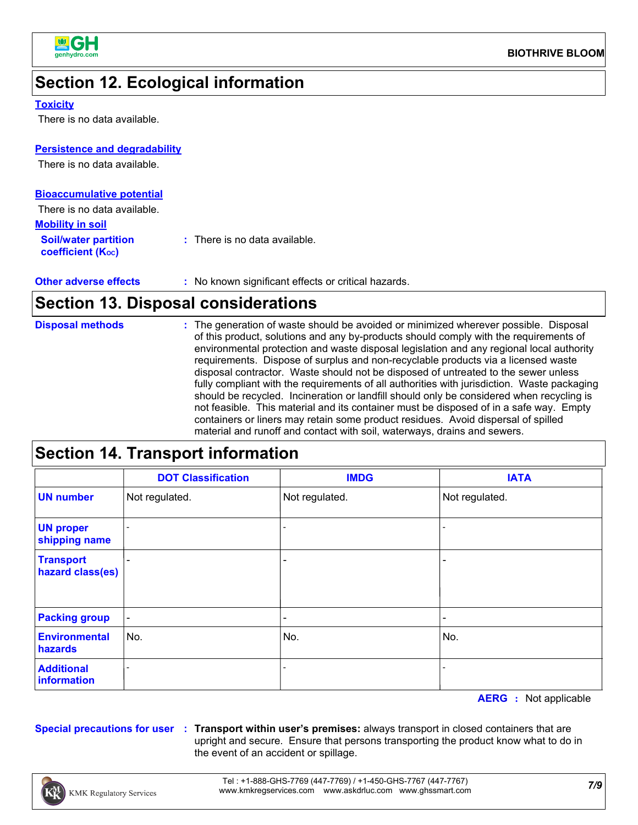

### **Section 12. Ecological information**

#### **Toxicity**

There is no data available.

#### **Persistence and degradability**

There is no data available.

| <b>Bioaccumulative potential</b>                 |                                          |
|--------------------------------------------------|------------------------------------------|
| There is no data available.                      |                                          |
| <b>Mobility in soil</b>                          |                                          |
| <b>Soil/water partition</b><br>coefficient (Koc) | $\therefore$ There is no data available. |

#### **Other adverse effects** : No known significant effects or critical hazards.

### **Section 13. Disposal considerations**

| <b>Disposal methods</b> | : The generation of waste should be avoided or minimized wherever possible. Disposal<br>of this product, solutions and any by-products should comply with the requirements of<br>environmental protection and waste disposal legislation and any regional local authority<br>requirements. Dispose of surplus and non-recyclable products via a licensed waste<br>disposal contractor. Waste should not be disposed of untreated to the sewer unless<br>fully compliant with the requirements of all authorities with jurisdiction. Waste packaging<br>should be recycled. Incineration or landfill should only be considered when recycling is<br>not feasible. This material and its container must be disposed of in a safe way. Empty<br>containers or liners may retain some product residues. Avoid dispersal of spilled<br>material and runoff and contact with soil, waterways, drains and sewers. |
|-------------------------|------------------------------------------------------------------------------------------------------------------------------------------------------------------------------------------------------------------------------------------------------------------------------------------------------------------------------------------------------------------------------------------------------------------------------------------------------------------------------------------------------------------------------------------------------------------------------------------------------------------------------------------------------------------------------------------------------------------------------------------------------------------------------------------------------------------------------------------------------------------------------------------------------------|

### **Section 14. Transport information**

|                                      | <b>DOT Classification</b> | <b>IMDG</b>    | <b>IATA</b>                  |
|--------------------------------------|---------------------------|----------------|------------------------------|
| <b>UN number</b>                     | Not regulated.            | Not regulated. | Not regulated.               |
| <b>UN proper</b><br>shipping name    |                           |                |                              |
| <b>Transport</b><br>hazard class(es) | $\overline{\phantom{0}}$  |                | $\qquad \qquad \blacksquare$ |
| <b>Packing group</b>                 | $\blacksquare$            |                | $\qquad \qquad \blacksquare$ |
| <b>Environmental</b><br>hazards      | No.                       | No.            | No.                          |
| <b>Additional</b><br>information     |                           |                |                              |

**AERG :** Not applicable

**Special precautions for user Transport within user's premises:** always transport in closed containers that are **:** upright and secure. Ensure that persons transporting the product know what to do in the event of an accident or spillage.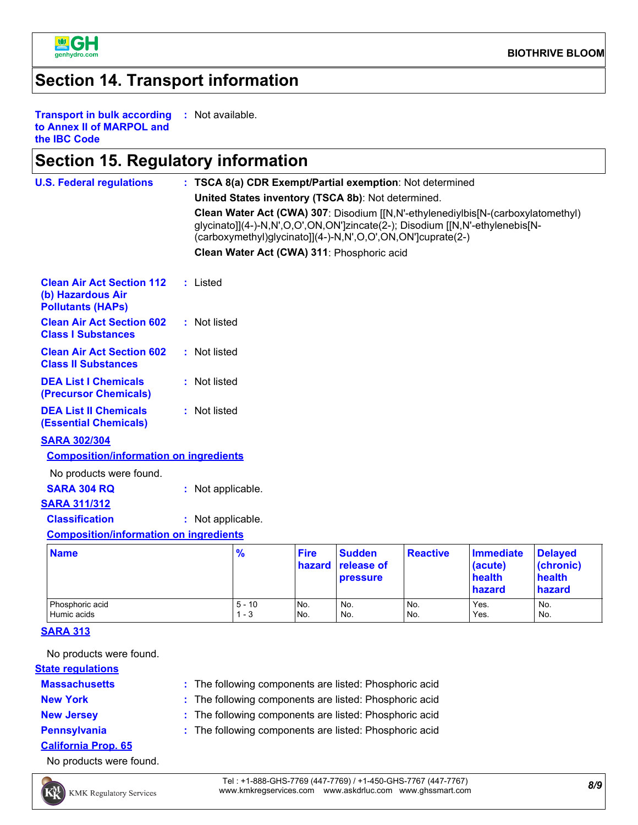

### **Section 14. Transport information**

**Transport in bulk according to Annex II of MARPOL and the IBC Code :** Not available.

### **Section 15. Regulatory information**

| <b>U.S. Federal regulations</b>                                                   |  | : TSCA 8(a) CDR Exempt/Partial exemption: Not determined |                     |                       |                                                             |                 |                                                                                                                                                                  |                                                 |  |
|-----------------------------------------------------------------------------------|--|----------------------------------------------------------|---------------------|-----------------------|-------------------------------------------------------------|-----------------|------------------------------------------------------------------------------------------------------------------------------------------------------------------|-------------------------------------------------|--|
|                                                                                   |  |                                                          |                     |                       | United States inventory (TSCA 8b): Not determined.          |                 |                                                                                                                                                                  |                                                 |  |
|                                                                                   |  |                                                          |                     |                       | (carboxymethyl)glycinato]](4-)-N,N',O,O',ON,ON']cuprate(2-) |                 | Clean Water Act (CWA) 307: Disodium [[N,N'-ethylenediylbis[N-(carboxylatomethyl)<br>glycinato]](4-)-N,N',O,O',ON,ON']zincate(2-); Disodium [[N,N'-ethylenebis[N- |                                                 |  |
|                                                                                   |  |                                                          |                     |                       | Clean Water Act (CWA) 311: Phosphoric acid                  |                 |                                                                                                                                                                  |                                                 |  |
| <b>Clean Air Act Section 112</b><br>(b) Hazardous Air<br><b>Pollutants (HAPs)</b> |  | : Listed                                                 |                     |                       |                                                             |                 |                                                                                                                                                                  |                                                 |  |
| <b>Clean Air Act Section 602</b><br><b>Class I Substances</b>                     |  | : Not listed                                             |                     |                       |                                                             |                 |                                                                                                                                                                  |                                                 |  |
| <b>Clean Air Act Section 602</b><br><b>Class II Substances</b>                    |  | : Not listed                                             |                     |                       |                                                             |                 |                                                                                                                                                                  |                                                 |  |
| <b>DEA List I Chemicals</b><br>(Precursor Chemicals)                              |  | : Not listed                                             |                     |                       |                                                             |                 |                                                                                                                                                                  |                                                 |  |
| <b>DEA List II Chemicals</b><br><b>(Essential Chemicals)</b>                      |  | : Not listed                                             |                     |                       |                                                             |                 |                                                                                                                                                                  |                                                 |  |
| <b>SARA 302/304</b>                                                               |  |                                                          |                     |                       |                                                             |                 |                                                                                                                                                                  |                                                 |  |
| <b>Composition/information on ingredients</b>                                     |  |                                                          |                     |                       |                                                             |                 |                                                                                                                                                                  |                                                 |  |
| No products were found.                                                           |  |                                                          |                     |                       |                                                             |                 |                                                                                                                                                                  |                                                 |  |
| <b>SARA 304 RQ</b>                                                                |  | : Not applicable.                                        |                     |                       |                                                             |                 |                                                                                                                                                                  |                                                 |  |
| <b>SARA 311/312</b>                                                               |  |                                                          |                     |                       |                                                             |                 |                                                                                                                                                                  |                                                 |  |
| <b>Classification</b>                                                             |  | : Not applicable.                                        |                     |                       |                                                             |                 |                                                                                                                                                                  |                                                 |  |
| <b>Composition/information on ingredients</b>                                     |  |                                                          |                     |                       |                                                             |                 |                                                                                                                                                                  |                                                 |  |
| <b>Name</b>                                                                       |  |                                                          | $\frac{9}{6}$       | <b>Fire</b><br>hazard | <b>Sudden</b><br>release of<br><b>pressure</b>              | <b>Reactive</b> | <b>Immediate</b><br>(acute)<br>health<br>hazard                                                                                                                  | <b>Delayed</b><br>(chronic)<br>health<br>hazard |  |
| Phosphoric acid<br>Humic acids                                                    |  |                                                          | $5 - 10$<br>$1 - 3$ | No.<br>No.            | No.<br>No.                                                  | No.<br>No.      | Yes.<br>Yes.                                                                                                                                                     | No.<br>No.                                      |  |

**SARA 313**

No products were found.

**State regulations**

- **Massachusetts**
- 
- The following components are listed: Phosphoric acid **: New York :** The following components are listed: Phosphoric acid

Humic acids 1 - 3 No. No. No. No. Yes. No. No. No.

- 
- 
- **New Jersey :** The following components are listed: Phosphoric acid
- 
- **Pennsylvania :** The following components are listed: Phosphoric acid
- **California Prop. 65**

No products were found.



*8/9* Tel : +1-888-GHS-7769 (447-7769) / +1-450-GHS-7767 (447-7767) www.kmkregservices.com www.askdrluc.com www.ghssmart.com